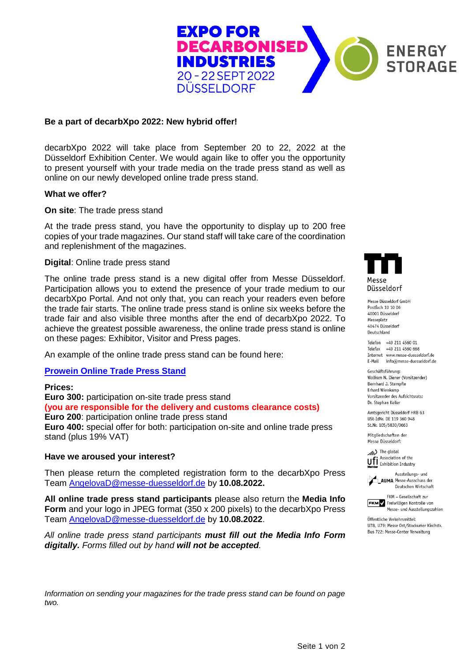

# **Be a part of decarbXpo 2022: New hybrid offer!**

decarbXpo 2022 will take place from September 20 to 22, 2022 at the Düsseldorf Exhibition Center. We would again like to offer you the opportunity to present yourself with your trade media on the trade press stand as well as online on our newly developed online trade press stand.

## **What we offer?**

**On site**: The trade press stand

At the trade press stand, you have the opportunity to display up to 200 free copies of your trade magazines. Our stand staff will take care of the coordination and replenishment of the magazines.

## **Digital**: Online trade press stand

The online trade press stand is a new digital offer from Messe Düsseldorf. Participation allows you to extend the presence of your trade medium to our decarbXpo Portal. And not only that, you can reach your readers even before the trade fair starts. The online trade press stand is online six weeks before the trade fair and also visible three months after the end of decarbXpo 2022. To achieve the greatest possible awareness, the online trade press stand is online on these pages: Exhibitor, Visitor and Press pages.

An example of the online trade press stand can be found here:

**[Prowein Online Trade Press Stand](https://www.prowein.com/dvispw221)**

## **Prices:**

**Euro 300:** participation on-site trade press stand **(you are responsible for the delivery and customs clearance costs) Euro 200**: participation online trade press stand **Euro 400:** special offer for both: participation on-site and online trade press stand (plus 19% VAT)

#### **Have we aroused your interest?**

Then please return the completed registration form to the decarbXpo Press Team [AngelovaD@messe-duesseldorf.de](mailto:AngelovaD@messe-duesseldorf.de) by **10.08.2022.**

**All online trade press stand participants** please also return the **Media Info Form** and your logo in JPEG format (350 x 200 pixels) to the decarbXpo Press Team [AngelovaD@messe-duesseldorf.de](mailto:AngelovaD@messe-duesseldorf.de) by **10.08.2022**.

*All online trade press stand participants must fill out the Media Info Form digitally. Forms filled out by hand will not be accepted.* 



Messe Diisseldorf GmbH Postfach 10 10 06 40001 Düsseldorf Messeplatz 40474 Düsseldorf Deutschland

Telefon +49 211 4560 01 Telefax +49 211 4560 668 Internet www.messe-duesseldorf.de E-Mail info@messe-duesseldorf.de

Geschäftsführung: Wolfram N. Diener (Vorsitzender) Bernhard J. Stempfle Erhard Wienkamp Vorsitzender des Aufsichtsrats: Dr. Stephan Keller

Amtsgericht Düsseldorf HRB 63 USt-IdNr. DE 119 360 948 St.Nr. 105/5830/0663

Mitgliedschaften der Messe Düsseldorf:



Ausstellungs- und AUMA Messe-Ausschuss der



FKM Freiwilligen Kontrolle von Messe- und Ausstellungszahlen

Öffentliche Verkehrsmittel: U78, U79: Messe Ost/Stockumer Kirchstr. Bus 722: Messe-Center Verwaltung

*Information on sending your magazines for the trade press stand can be found on page two.*